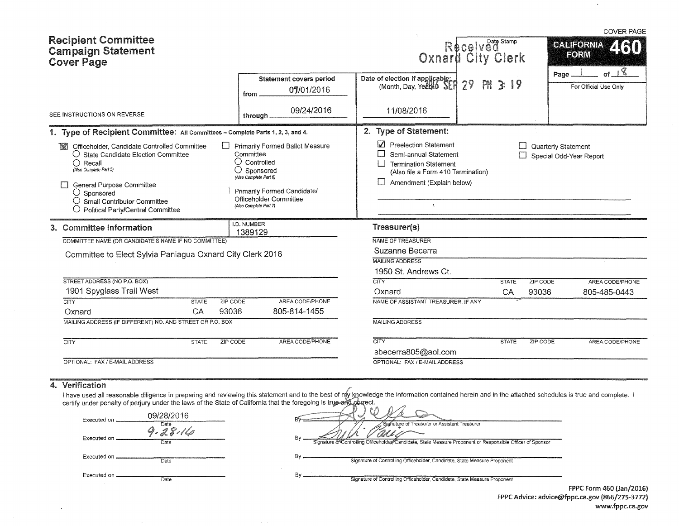| <b>Recipient Committee</b><br><b>Campaign Statement</b><br><b>Cover Page</b>                                                                                                                                                                                                                             |                    |                                                                                                                |                                                                                                 |                                                                                                                                                                                  | Received<br>Oxnard City Clerk |          | <b>COVER PAGE</b><br>CALIFORNIA<br><b>KAIT</b><br>FORM<br>of $\sqrt{8}$ |
|----------------------------------------------------------------------------------------------------------------------------------------------------------------------------------------------------------------------------------------------------------------------------------------------------------|--------------------|----------------------------------------------------------------------------------------------------------------|-------------------------------------------------------------------------------------------------|----------------------------------------------------------------------------------------------------------------------------------------------------------------------------------|-------------------------------|----------|-------------------------------------------------------------------------|
|                                                                                                                                                                                                                                                                                                          |                    | from.                                                                                                          | <b>Statement covers period</b><br>07/01/2016                                                    | Date of election if applicable:<br>(Month, Day, Yeah) 0                                                                                                                          | $29^{1}$<br>PM<br>3:19        |          | Page.<br>For Official Use Only                                          |
| SEE INSTRUCTIONS ON REVERSE                                                                                                                                                                                                                                                                              |                    | through.                                                                                                       | 09/24/2016                                                                                      | 11/08/2016                                                                                                                                                                       |                               |          |                                                                         |
| 1. Type of Recipient Committee: All Committees - Complete Parts 1, 2, 3, and 4.                                                                                                                                                                                                                          |                    |                                                                                                                |                                                                                                 | 2. Type of Statement:                                                                                                                                                            |                               |          |                                                                         |
| Officeholder, Candidate Controlled Committee<br><b>BRI</b><br>$\bigcirc$ State Candidate Election Committee<br>$\bigcap$ Recall<br>(Also Complete Part 5)<br>General Purpose Committee<br>$\bigcirc$ Sponsored<br>$\bigcirc$ Small Contributor Committee<br>$\bigcirc$ Political Party/Central Committee |                    | Committee<br>$\bigcirc$ Controlled<br>$\bigcirc$ Sponsored<br>(Also Complete Part 6)<br>(Also Complete Part 7) | <b>Primarily Formed Ballot Measure</b><br>Primarily Formed Candidate/<br>Officeholder Committee | <b>Preelection Statement</b><br>Semi-annual Statement<br><b>Termination Statement</b><br>(Also file a Form 410 Termination)<br>Amendment (Explain below)<br>$\ddot{\phantom{1}}$ |                               |          | Quarterly Statement<br>Special Odd-Year Report                          |
| 3. Committee Information                                                                                                                                                                                                                                                                                 |                    | I.D. NUMBER<br>1389129                                                                                         |                                                                                                 | Treasurer(s)                                                                                                                                                                     |                               |          |                                                                         |
| COMMITTEE NAME (OR CANDIDATE'S NAME IF NO COMMITTEE)                                                                                                                                                                                                                                                     |                    |                                                                                                                |                                                                                                 | NAME OF TREASURER                                                                                                                                                                |                               |          |                                                                         |
| Committee to Elect Sylvia Paniagua Oxnard City Clerk 2016                                                                                                                                                                                                                                                |                    |                                                                                                                |                                                                                                 | Suzanne Becerra                                                                                                                                                                  |                               |          |                                                                         |
|                                                                                                                                                                                                                                                                                                          |                    |                                                                                                                |                                                                                                 | <b>MAILING ADDRESS</b><br>1950 St. Andrews Ct.                                                                                                                                   |                               |          |                                                                         |
| STREET ADDRESS (NO P.O. BOX)                                                                                                                                                                                                                                                                             |                    |                                                                                                                |                                                                                                 | $\overline{\text{CITY}}$                                                                                                                                                         | <b>STATE</b>                  | ZIP CODE | AREA CODE/PHONE                                                         |
| 1901 Spyglass Trail West                                                                                                                                                                                                                                                                                 |                    |                                                                                                                |                                                                                                 | Oxnard                                                                                                                                                                           | CA                            | 93036    | 805-485-0443                                                            |
| <b>CITY</b><br>Oxnard                                                                                                                                                                                                                                                                                    | <b>STATE</b><br>CA | ZIP CODE<br>93036                                                                                              | AREA CODE/PHONE<br>805-814-1455                                                                 | NAME OF ASSISTANT TREASURER, IF ANY                                                                                                                                              |                               |          |                                                                         |
| MAILING ADDRESS (IF DIFFERENT) NO. AND STREET OR P.O. BOX                                                                                                                                                                                                                                                |                    |                                                                                                                |                                                                                                 | <b>MAILING ADDRESS</b>                                                                                                                                                           |                               |          |                                                                         |
|                                                                                                                                                                                                                                                                                                          |                    |                                                                                                                |                                                                                                 |                                                                                                                                                                                  |                               |          |                                                                         |
| $\overline{\text{CITY}}$                                                                                                                                                                                                                                                                                 | <b>STATE</b>       | <b>ZIP CODE</b>                                                                                                | AREA CODE/PHONE                                                                                 | CITY                                                                                                                                                                             | <b>STATE</b>                  | ZIP CODE | AREA CODE/PHONE                                                         |
|                                                                                                                                                                                                                                                                                                          |                    |                                                                                                                |                                                                                                 | sbecerra805@aol.com                                                                                                                                                              |                               |          |                                                                         |
| OPTIONAL: FAX / E-MAIL ADDRESS                                                                                                                                                                                                                                                                           |                    |                                                                                                                |                                                                                                 | OPTIONAL: FAX / E-MAIL ADDRESS                                                                                                                                                   |                               |          |                                                                         |

#### 4. Verification

 $\sim$ 

I have used all reasonable diligence in preparing and reviewing this statement and to the best certify under penalty of perjury under the laws of the State of California that the foregoing is tn owledge the information contained herein and in the attached schedules is true and complete. ect.

| 09/28/2016<br>Executed on<br>Date | Signature of Treasurer or Assistant Treasurer                                                                    |  |
|-----------------------------------|------------------------------------------------------------------------------------------------------------------|--|
| Executed on<br>Date               | B٧<br>Signature of Controlling Officeholder Candidate, State Measure Proponent or Responsible Officer of Sponsor |  |
| Executed on.<br>Date              | Bv<br>Signature of Controlling Officeholder, Candidate, State Measure Proponent                                  |  |
| Executed on .<br>Date             | Bv<br>Signature of Controlling Officeholder, Candidate, State Measure Proponent                                  |  |

FPPC Form 460 (Jan/2016) FPPC Advice: advice@fppc.ca.gov (866/275-3772) www.fppc.ca.gov

 $\hat{\boldsymbol{\cdot} }$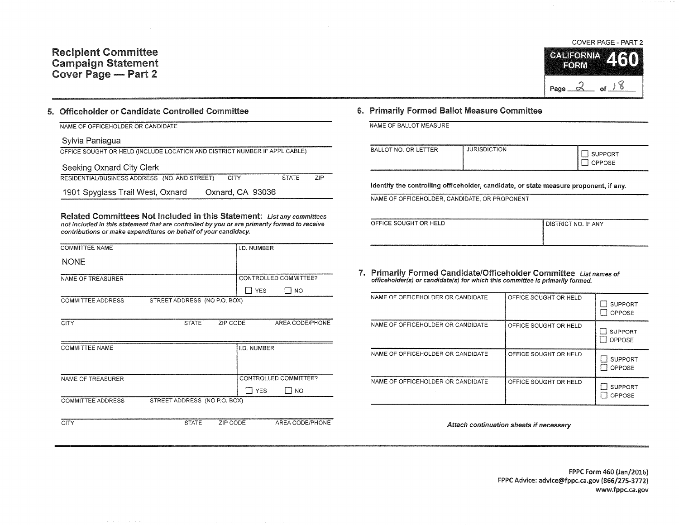

of.

 $\sim$ 

### 5. Officeholder or Candidate Controlled Committee

| NAME OF OFFICEHOLDER OR CANDIDATE |
|-----------------------------------|
|-----------------------------------|

## Sylvia Paniagua

| OFFICE SOUGHT OR HELD (INCLUDE LOCATION AND DISTRICT NUMBER IF APPLICABLE) |                  |              |     |
|----------------------------------------------------------------------------|------------------|--------------|-----|
| Seeking Oxnard City Clerk                                                  |                  |              |     |
| RESIDENTIAL/BUSINESS ADDRESS (NO. AND STREET)                              | CITY             | <b>STATE</b> | 7IP |
| 1901 Spyglass Trail West, Oxnard                                           | Oxnard, CA 93036 |              |     |

Related Committees Not Included in this Statement: List any committees not included in this statement that are controlled by you or are primarily formed to receive contributions or make expenditures on behalf of your candidacy.

| <b>COMMITTEE NAME</b>    |                              | <b>I.D. NUMBER</b> |                       |
|--------------------------|------------------------------|--------------------|-----------------------|
| <b>NONE</b>              |                              |                    |                       |
| NAME OF TREASURER        |                              |                    | CONTROLLED COMMITTEE? |
|                          |                              | <b>YES</b>         | I NO                  |
| <b>COMMITTEE ADDRESS</b> | STREET ADDRESS (NO P.O. BOX) |                    |                       |

| <b>CITY</b>           | <b>STATE</b>                 | ZIP CODE | AREA CODE/PHONE               |
|-----------------------|------------------------------|----------|-------------------------------|
| <b>COMMITTEE NAME</b> |                              |          | I.D. NUMBER                   |
|                       |                              |          |                               |
| NAME OF TREASURER     |                              |          | CONTROLLED COMMITTEE?         |
|                       |                              |          | <b>YES</b><br>NO <sub>1</sub> |
| COMMITTEE ADDRESS     | STREET ADDRESS (NO P.O. BOX) |          |                               |
|                       |                              |          |                               |
| <b>CITY</b>           | <b>STATE</b>                 | ZIP CODE | AREA CODE/PHONE               |

# 6. Primarily Formed Ballot Measure Committee

NAME OF BALLOT MEASURE

| BALLOT NO. OR LETTER | <b>JURISDICTION</b> | SUPPORT<br>OPPOSE |
|----------------------|---------------------|-------------------|
|----------------------|---------------------|-------------------|

Identify the controlling officeholder, candidate, or state measure proponent, if any.

NAME OF OFFICEHOLDER, CANDIDATE, OR PROPONENT

| OFFICE SOUGHT OR HELD | I DISTRICT NO. IF ANY |
|-----------------------|-----------------------|
|                       |                       |
|                       |                       |

7. Primarily Formed Candidate/Officeholder Committee List names of officeholder(s) or candidate(s) for which this committee is primarily formed.

| NAME OF OFFICEHOLDER OR CANDIDATE | OFFICE SOUGHT OR HELD | <b>SUPPORT</b><br>OPPOSE |
|-----------------------------------|-----------------------|--------------------------|
| NAME OF OFFICEHOLDER OR CANDIDATE | OFFICE SOUGHT OR HELD | <b>SUPPORT</b><br>OPPOSE |
| NAME OF OFFICEHOLDER OR CANDIDATE | OFFICE SOUGHT OR HELD | <b>SUPPORT</b><br>OPPOSE |
| NAME OF OFFICEHOLDER OR CANDIDATE | OFFICE SOUGHT OR HELD | <b>SUPPORT</b><br>OPPOSE |

Attach continuation sheets if necessary

FPPC Form 460 {Jan/2016) FPPC Advice: advice@fppc.ca.gov (866/275-3772) www.fppc.ca.gov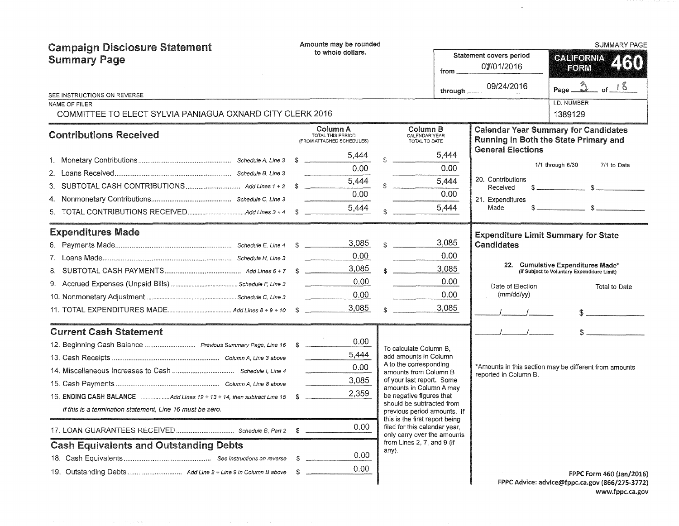| <b>Campaign Disclosure Statement</b>                                  | Amounts may be rounded    |                                                            |  |                                                               |           | <b>SUMMARY PAGE</b>                          |                                                                                                                                                                                                                                                                                                                     |  |  |
|-----------------------------------------------------------------------|---------------------------|------------------------------------------------------------|--|---------------------------------------------------------------|-----------|----------------------------------------------|---------------------------------------------------------------------------------------------------------------------------------------------------------------------------------------------------------------------------------------------------------------------------------------------------------------------|--|--|
| <b>Summary Page</b>                                                   | to whole dollars.<br>from |                                                            |  |                                                               |           | <b>Statement covers period</b><br>07/01/2016 | CALIFORNIA<br>2160<br>FORM                                                                                                                                                                                                                                                                                          |  |  |
|                                                                       |                           |                                                            |  |                                                               |           |                                              |                                                                                                                                                                                                                                                                                                                     |  |  |
| SEE INSTRUCTIONS ON REVERSE                                           |                           |                                                            |  |                                                               | through _ | 09/24/2016                                   | $Page_2$<br>of $18$                                                                                                                                                                                                                                                                                                 |  |  |
| <b>NAME OF FILER</b>                                                  |                           |                                                            |  |                                                               |           |                                              | <b>I.D. NUMBER</b>                                                                                                                                                                                                                                                                                                  |  |  |
| COMMITTEE TO ELECT SYLVIA PANIAGUA OXNARD CITY CLERK 2016             |                           |                                                            |  |                                                               |           |                                              | 1389129                                                                                                                                                                                                                                                                                                             |  |  |
| <b>Contributions Received</b>                                         |                           | Column A<br>TOTAL THIS PERIOD<br>(FROM ATTACHED SCHEDULES) |  | Column B<br>CALENDAR YEAR<br>TOTAL TO DATE                    |           |                                              | <b>Calendar Year Summary for Candidates</b><br>Running in Both the State Primary and                                                                                                                                                                                                                                |  |  |
|                                                                       |                           | 5,444                                                      |  | 5,444                                                         |           | <b>General Elections</b>                     |                                                                                                                                                                                                                                                                                                                     |  |  |
|                                                                       |                           | 0.00                                                       |  | 0.00                                                          |           |                                              | 1/1 through 6/30<br>7/1 to Date                                                                                                                                                                                                                                                                                     |  |  |
|                                                                       |                           | 5,444                                                      |  | 5,444                                                         |           | 20. Contributions<br>Received                | $\frac{1}{2}$ $\frac{1}{2}$ $\frac{1}{2}$ $\frac{1}{2}$ $\frac{1}{2}$ $\frac{1}{2}$ $\frac{1}{2}$ $\frac{1}{2}$ $\frac{1}{2}$ $\frac{1}{2}$ $\frac{1}{2}$ $\frac{1}{2}$ $\frac{1}{2}$ $\frac{1}{2}$ $\frac{1}{2}$ $\frac{1}{2}$ $\frac{1}{2}$ $\frac{1}{2}$ $\frac{1}{2}$ $\frac{1}{2}$ $\frac{1}{2}$ $\frac{1}{2}$ |  |  |
| 4.                                                                    |                           | 0.00                                                       |  | 0.00                                                          |           | 21. Expenditures                             |                                                                                                                                                                                                                                                                                                                     |  |  |
| 5.                                                                    |                           | 5,444                                                      |  | 5,444                                                         |           | Made                                         |                                                                                                                                                                                                                                                                                                                     |  |  |
| <b>Expenditures Made</b>                                              |                           |                                                            |  |                                                               |           | <b>Expenditure Limit Summary for State</b>   |                                                                                                                                                                                                                                                                                                                     |  |  |
|                                                                       |                           | 3,085                                                      |  | 3,085                                                         |           | Candidates                                   |                                                                                                                                                                                                                                                                                                                     |  |  |
|                                                                       |                           | 0.00                                                       |  | 0.00                                                          |           |                                              |                                                                                                                                                                                                                                                                                                                     |  |  |
| 8.                                                                    |                           | 3,085                                                      |  | 3,085                                                         |           |                                              | 22. Cumulative Expenditures Made*<br>(If Subject to Voluntary Expenditure Limit)                                                                                                                                                                                                                                    |  |  |
|                                                                       |                           | 0.00                                                       |  | 0.00                                                          |           | Date of Election                             | Total to Date                                                                                                                                                                                                                                                                                                       |  |  |
|                                                                       |                           | 0.00                                                       |  | 0.00                                                          |           | (mm/dd/yy)                                   |                                                                                                                                                                                                                                                                                                                     |  |  |
|                                                                       |                           | 3,085                                                      |  | 3,085                                                         |           |                                              |                                                                                                                                                                                                                                                                                                                     |  |  |
| <b>Current Cash Statement</b>                                         |                           |                                                            |  |                                                               |           |                                              |                                                                                                                                                                                                                                                                                                                     |  |  |
| 12. Beginning Cash Balance  Previous Summary Page, Line 16 \$         |                           | 0.00                                                       |  | To calculate Column B.                                        |           |                                              |                                                                                                                                                                                                                                                                                                                     |  |  |
|                                                                       |                           | 5,444                                                      |  | add amounts in Column<br>A to the corresponding               |           |                                              |                                                                                                                                                                                                                                                                                                                     |  |  |
|                                                                       |                           | 0.00                                                       |  | amounts from Column B                                         |           | reported in Column B.                        | *Amounts in this section may be different from amounts                                                                                                                                                                                                                                                              |  |  |
|                                                                       |                           | 3,085                                                      |  | of your last report. Some<br>amounts in Column A may          |           |                                              |                                                                                                                                                                                                                                                                                                                     |  |  |
| 16. ENDING CASH BALANCE Add Lines 12 + 13 + 14, then subtract Line 15 | -S.                       | 2,359                                                      |  | be negative figures that<br>should be subtracted from         |           |                                              |                                                                                                                                                                                                                                                                                                                     |  |  |
| If this is a termination statement, Line 16 must be zero.             |                           |                                                            |  | previous period amounts. If<br>this is the first report being |           |                                              |                                                                                                                                                                                                                                                                                                                     |  |  |
|                                                                       |                           | 0.00                                                       |  | filed for this calendar year,<br>only carry over the amounts  |           |                                              |                                                                                                                                                                                                                                                                                                                     |  |  |
| <b>Cash Equivalents and Outstanding Debts</b>                         |                           |                                                            |  | from Lines 2, 7, and 9 (if<br>any).                           |           |                                              |                                                                                                                                                                                                                                                                                                                     |  |  |
|                                                                       | -S                        | 0.00                                                       |  |                                                               |           |                                              |                                                                                                                                                                                                                                                                                                                     |  |  |
| 19. Outstanding Debts Add Line 2 + Line 9 in Column B above           | -S                        | 0.00                                                       |  |                                                               |           |                                              | FPPC Form 460 (Jan/2016)                                                                                                                                                                                                                                                                                            |  |  |
|                                                                       |                           |                                                            |  |                                                               |           |                                              | FPPC Advice: advice@fppc.ca.gov (866/275-3772)                                                                                                                                                                                                                                                                      |  |  |

 $\mathcal{A}$ 

FPPC Advice: advice@fppc.ca.gov (866/275-3772) www.fppc.ca.gov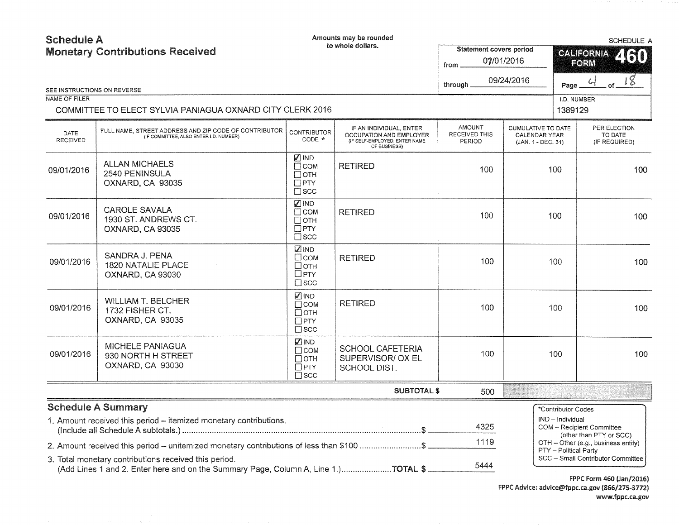| <b>Schedule A</b><br><b>Monetary Contributions Received</b><br>SEE INSTRUCTIONS ON REVERSE<br><b>NAME OF FILER</b> |                                                                                                                                             |                                                                                            | Amounts may be rounded<br>to whole dollars.                                                         | Statement covers period<br>07/01/2016<br>from<br>09/24/2016<br>through | <b>SCHEDULE A</b><br><b>CALIFORNIA</b><br>260<br>FORM<br>$\frac{18}{10}$<br>$\omega$<br>Page.<br>I.D. NUMBER |                                        |                                                      |     |  |     |  |  |  |  |     |
|--------------------------------------------------------------------------------------------------------------------|---------------------------------------------------------------------------------------------------------------------------------------------|--------------------------------------------------------------------------------------------|-----------------------------------------------------------------------------------------------------|------------------------------------------------------------------------|--------------------------------------------------------------------------------------------------------------|----------------------------------------|------------------------------------------------------|-----|--|-----|--|--|--|--|-----|
|                                                                                                                    | COMMITTEE TO ELECT SYLVIA PANIAGUA OXNARD CITY CLERK 2016                                                                                   |                                                                                            |                                                                                                     |                                                                        |                                                                                                              | 1389129                                |                                                      |     |  |     |  |  |  |  |     |
| <b>DATE</b><br>RECEIVED                                                                                            | FULL NAME, STREET ADDRESS AND ZIP CODE OF CONTRIBUTOR<br>(IF COMMITTEE, ALSO ENTER I.D. NUMBER)                                             | <b>CONTRIBUTOR</b><br>CODE *                                                               | IF AN INDIVIDUAL, ENTER<br>OCCUPATION AND EMPLOYER<br>(IF SELF-EMPLOYED, ENTER NAME<br>OF BUSINESS) | <b>AMOUNT</b><br>RECEIVED THIS<br>PERIOD                               | <b>CUMULATIVE TO DATE</b><br><b>CALENDAR YEAR</b><br>(JAN. 1 - DEC. 31)                                      |                                        | PER ELECTION<br>TO DATE<br>(IF REQUIRED)             |     |  |     |  |  |  |  |     |
| 09/01/2016                                                                                                         | <b>ALLAN MICHAELS</b><br>2540 PENINSULA<br>OXNARD, CA 93035                                                                                 | <b>⊽</b> IND<br><b>RETIRED</b><br>$\Box$ COM<br>100<br>Потн<br>$\square$ PTY<br>$\Box$ scc |                                                                                                     | 100                                                                    |                                                                                                              |                                        |                                                      |     |  |     |  |  |  |  | 100 |
| 09/01/2016                                                                                                         | <b>CAROLE SAVALA</b><br>1930 ST. ANDREWS CT.<br>OXNARD, CA 93035                                                                            | <b>ZIND</b><br>$\Box$ COM<br>Потн<br>$\square$ PTY<br>$\square$ scc                        | <b>RETIRED</b>                                                                                      | 100                                                                    | 100                                                                                                          |                                        |                                                      |     |  | 100 |  |  |  |  |     |
| 09/01/2016                                                                                                         | SANDRA J. PENA<br><b>1820 NATALIE PLACE</b><br>OXNARD, CA 93030                                                                             | <b>ZIND</b><br>□сом<br>□отн<br>$\Box$ PTY<br>$\square$ scc                                 | <b>RETIRED</b>                                                                                      | 100                                                                    | 100                                                                                                          |                                        |                                                      | 100 |  |     |  |  |  |  |     |
| 09/01/2016                                                                                                         | <b>WILLIAM T. BELCHER</b><br>1732 FISHER CT.<br>OXNARD, CA 93035                                                                            | $\nabla$ IND<br>$\Box$ COM<br>$\Box$ OTH<br>$\Box$ PTY<br>$\square$ scc                    | <b>RETIRED</b>                                                                                      | 100                                                                    |                                                                                                              | 100                                    |                                                      | 100 |  |     |  |  |  |  |     |
| 09/01/2016                                                                                                         | <b>MICHELE PANIAGUA</b><br>930 NORTH H STREET<br>OXNARD, CA 93030                                                                           | <b>VIND</b><br>Псом<br>$\Box$ OTH<br>$\Box$ PTY<br>$\Box$ SCC                              | <b>SCHOOL CAFETERIA</b><br>SUPERVISOR/ OX EL<br>SCHOOL DIST.                                        | 100                                                                    |                                                                                                              | 100                                    |                                                      | 100 |  |     |  |  |  |  |     |
|                                                                                                                    |                                                                                                                                             |                                                                                            | <b>SUBTOTAL \$</b>                                                                                  | 500                                                                    |                                                                                                              |                                        |                                                      |     |  |     |  |  |  |  |     |
|                                                                                                                    | <b>Schedule A Summary</b><br>1. Amount received this period - itemized monetary contributions.                                              |                                                                                            |                                                                                                     | 4325                                                                   |                                                                                                              | *Contributor Codes<br>IND - Individual | COM - Recipient Committee<br>(other than PTY or SCC) |     |  |     |  |  |  |  |     |
|                                                                                                                    | 2. Amount received this period - unitemized monetary contributions of less than \$100 \$                                                    |                                                                                            |                                                                                                     | 1119                                                                   |                                                                                                              | PTY - Political Party                  | OTH - Other (e.g., business entity)                  |     |  |     |  |  |  |  |     |
|                                                                                                                    | 3. Total monetary contributions received this period.<br>(Add Lines 1 and 2. Enter here and on the Summary Page, Column A, Line 1.)TOTAL \$ |                                                                                            |                                                                                                     | 5444                                                                   |                                                                                                              |                                        | SCC - Small Contributor Committee                    |     |  |     |  |  |  |  |     |

FPPC Form 460 (Jan/2016) FPPC Advice: advice@fppc.ca.gov (866/275-3772) www.fppc.ca.gov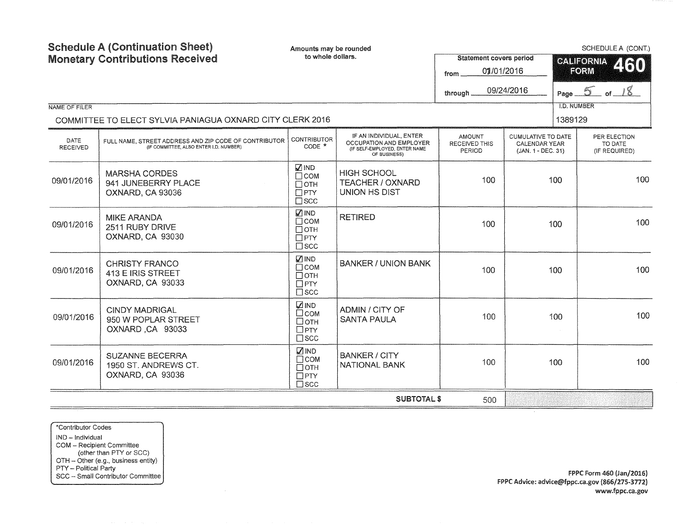| NAME OF FILER                  | <b>Schedule A (Continuation Sheet)</b><br><b>Monetary Contributions Received</b>                | Amounts may be rounded<br>to whole dollars.                            |                                                                                                     | <b>Statement covers period</b><br>01/01/2016<br>from.<br>through. | 09/24/2016                                                | SCHEDULE A (CONT.)<br>CALIFORNIA 460<br>FORM<br>Page $5$ of $18$<br><b>I.D. NUMBER</b> |                                          |  |     |
|--------------------------------|-------------------------------------------------------------------------------------------------|------------------------------------------------------------------------|-----------------------------------------------------------------------------------------------------|-------------------------------------------------------------------|-----------------------------------------------------------|----------------------------------------------------------------------------------------|------------------------------------------|--|-----|
|                                | COMMITTEE TO ELECT SYLVIA PANIAGUA OXNARD CITY CLERK 2016                                       |                                                                        |                                                                                                     |                                                                   |                                                           | 1389129                                                                                |                                          |  |     |
| <b>DATE</b><br><b>RECEIVED</b> | FULL NAME, STREET ADDRESS AND ZIP CODE OF CONTRIBUTOR<br>(IF COMMITTEE, ALSO ENTER I.D. NUMBER) | <b>CONTRIBUTOR</b><br>$CODE *$                                         | IF AN INDIVIDUAL, ENTER<br>OCCUPATION AND EMPLOYER<br>(IF SELF-EMPLOYED, ENTER NAME<br>OF BUSINESS) | <b>AMOUNT</b><br>RECEIVED THIS<br>PERIOD                          | CUMULATIVE TO DATE<br>CALENDAR YEAR<br>(JAN. 1 - DEC. 31) |                                                                                        | PER ELECTION<br>TO DATE<br>(IF REQUIRED) |  |     |
| 09/01/2016                     | <b>MARSHA CORDES</b><br>941 JUNEBERRY PLACE<br>OXNARD, CA 93036                                 | $\Box$ IND<br>$\Box$ COM<br>$\Box$ OTH<br>$\Box$ PTY<br>$\square$ scc  | <b>HIGH SCHOOL</b><br><b>TEACHER / OXNARD</b><br><b>UNION HS DIST</b>                               | 100                                                               | 100                                                       |                                                                                        |                                          |  | 100 |
| 09/01/2016                     | <b>MIKE ARANDA</b><br>2511 RUBY DRIVE<br>OXNARD, CA 93030                                       | <b>ZIND</b><br>$\Box$ COM<br>$\Box$ OTH<br>$\Box$ PTY<br>$\square$ scc | <b>RETIRED</b>                                                                                      | 100                                                               | 100                                                       |                                                                                        | 100                                      |  |     |
| 09/01/2016                     | <b>CHRISTY FRANCO</b><br>413 E IRIS STREET<br>OXNARD, CA 93033                                  | <b>ZIND</b><br>$\Box$ COM<br>$\Box$ OTH<br>$\Box$ PTY<br>$\square$ scc | <b>BANKER / UNION BANK</b>                                                                          | 100                                                               | 100                                                       |                                                                                        | 100                                      |  |     |
| 09/01/2016                     | <b>CINDY MADRIGAL</b><br>950 W POPLAR STREET<br>OXNARD, CA 93033                                | $\nabla$ IND<br>$\Box$ COM<br>□отн<br>$\Box$ PTY<br>$\square$ scc      | ADMIN / CITY OF<br><b>SANTA PAULA</b>                                                               | 100                                                               |                                                           | 100                                                                                    | 100                                      |  |     |
| 09/01/2016                     | <b>SUZANNE BECERRA</b><br>1950 ST. ANDREWS CT.<br>OXNARD, CA 93036                              | $\nabla$ IND<br>$\Box$ COM<br>Потн<br>$\Box$ PTY<br>$\Box$ scc         | <b>BANKER / CITY</b><br>NATIONAL BANK                                                               | 100                                                               |                                                           | 100                                                                                    | 100                                      |  |     |
|                                |                                                                                                 |                                                                        | <b>SUBTOTAL \$</b>                                                                                  | 500                                                               |                                                           |                                                                                        |                                          |  |     |

\*Contributor Codes IND - Individual COM - Recipient Committee (other than PTY or SCC) OTH - Other (e.g., business entity) PTY - Political Party SCC - Small Contributor Committee

FPPC Form 460 {Jan/2016) FPPC Advice: advice@fppc.ca.gov (866/275-3772) www.fppc.ca.gov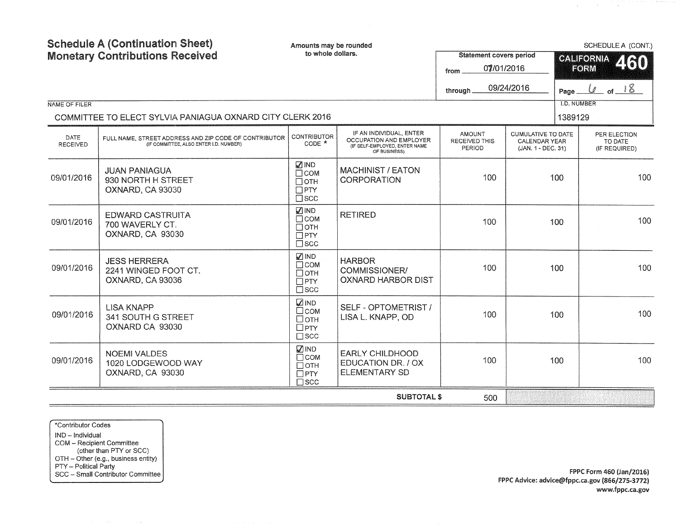| <b>Schedule A (Continuation Sheet)</b><br><b>Monetary Contributions Received</b> |                                                                                                 | Amounts may be rounded<br>to whole dollars.                             |                                                                                                     | <b>Statement covers period</b><br>07/01/2016<br>from |                                                                         | SCHEDULE A (CONT.)<br>CALIFORNIA 460<br>FORM |  |  |
|----------------------------------------------------------------------------------|-------------------------------------------------------------------------------------------------|-------------------------------------------------------------------------|-----------------------------------------------------------------------------------------------------|------------------------------------------------------|-------------------------------------------------------------------------|----------------------------------------------|--|--|
| NAME OF FILER                                                                    |                                                                                                 |                                                                         |                                                                                                     | through                                              | 09/24/2016                                                              | of $18$<br>U<br>Page<br><b>I.D. NUMBER</b>   |  |  |
|                                                                                  | COMMITTEE TO ELECT SYLVIA PANIAGUA OXNARD CITY CLERK 2016                                       |                                                                         |                                                                                                     |                                                      |                                                                         | 1389129                                      |  |  |
| DATE<br><b>RECEIVED</b>                                                          | FULL NAME, STREET ADDRESS AND ZIP CODE OF CONTRIBUTOR<br>(IF COMMITTEE, ALSO ENTER I.D. NUMBER) | <b>CONTRIBUTOR</b><br>CODE *                                            | IF AN INDIVIDUAL, ENTER<br>OCCUPATION AND EMPLOYER<br>(IF SELF-EMPLOYED, ENTER NAME<br>OF BUSINESS) | <b>AMOUNT</b><br>RECEIVED THIS<br>PERIOD             | <b>CUMULATIVE TO DATE</b><br><b>CALENDAR YEAR</b><br>(JAN. 1 - DEC. 31) | PER ELECTION<br>TO DATE<br>(IF REQUIRED)     |  |  |
| 09/01/2016                                                                       | <b>JUAN PANIAGUA</b><br>930 NORTH H STREET<br>OXNARD, CA 93030                                  | <b>MIND</b><br>$\Box$ COM<br>$\Box$ OTH<br>$\Box$ PTY<br>$\square$ scc  | <b>MACHINIST / EATON</b><br><b>CORPORATION</b>                                                      | 100                                                  | 100                                                                     | 100                                          |  |  |
| 09/01/2016                                                                       | <b>EDWARD CASTRUITA</b><br>700 WAVERLY CT.<br>OXNARD, CA 93030                                  | $\nabla$ IND<br>$\Box$ COM<br>$\Box$ OTH<br>$\Box$ PTY<br>$\square$ scc | <b>RETIRED</b>                                                                                      | 100                                                  | 100                                                                     | 100                                          |  |  |
| 09/01/2016                                                                       | <b>JESS HERRERA</b><br>2241 WINGED FOOT CT.<br>OXNARD, CA 93036                                 | <b>√</b> IND<br>$\Box$ COM<br>Потн<br>$\Box$ PTY<br>$\square$ scc       | <b>HARBOR</b><br>COMMISSIONER/<br><b>OXNARD HARBOR DIST</b>                                         | 100                                                  | 100                                                                     | 100                                          |  |  |
| 09/01/2016                                                                       | <b>LISA KNAPP</b><br>341 SOUTH G STREET<br>OXNARD CA 93030                                      | <b>ZIND</b><br>□сом<br>□отн<br>$\Box$ PTY<br>$\square$ scc              | SELF - OPTOMETRIST /<br>LISA L. KNAPP, OD                                                           | 100                                                  | 100                                                                     | 100                                          |  |  |
| 09/01/2016                                                                       | <b>NOEMI VALDES</b><br>1020 LODGEWOOD WAY<br>OXNARD, CA 93030                                   | <b>ØIND</b><br>$\Box$ COM<br>$\Box$ OTH<br>$\Box$ PTY<br>$\square$ scc  | <b>EARLY CHILDHOOD</b><br>EDUCATION DR. / OX<br><b>ELEMENTARY SD</b>                                | 100                                                  | 100                                                                     | 100                                          |  |  |
|                                                                                  |                                                                                                 |                                                                         | <b>SUBTOTAL \$</b>                                                                                  | 500                                                  |                                                                         |                                              |  |  |

\*Contributor Codes IND - Individual COM - Recipient Committee (other than PTY or SCC) OTH - Other (e.g., business entity) PTY - Political Party

SCC - Small Contributor Committee FPPC Form 460 (Jan/2016) FPPC Advice: aclvice@fppc.ca.gov (866/275-3772.) www.fppc.ca.gov

 $\label{eq:2.1} \mathcal{L}(\mathbf{q},\mathbf{q})=\mathcal{L}(\mathbf{q},\mathbf{q})=\mathcal{L}(\mathbf{q},\mathbf{q})\mathcal{L}(\mathbf{q},\mathbf{q})$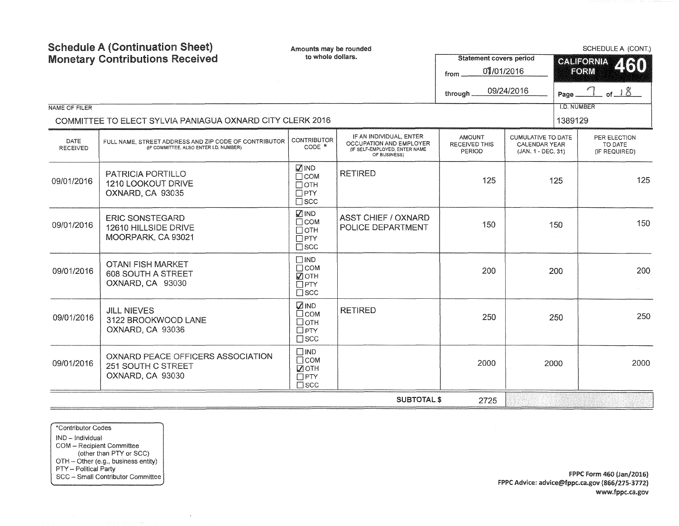| NAME OF FILER           | <b>Schedule A (Continuation Sheet)</b><br><b>Monetary Contributions Received</b>                | Amounts may be rounded<br>to whole dollars.                               |                                                                                                     | <b>Statement covers period</b><br>01/01/2016<br>from.<br>through. | 09/24/2016                                                       | SCHEDULE A (CONT.)<br><b>CALIFORNIA</b><br>460<br>FORM<br>$\frac{1}{1}$ of $\frac{18}{1}$<br>Page.<br><b>I.D. NUMBER</b> |                                          |  |     |
|-------------------------|-------------------------------------------------------------------------------------------------|---------------------------------------------------------------------------|-----------------------------------------------------------------------------------------------------|-------------------------------------------------------------------|------------------------------------------------------------------|--------------------------------------------------------------------------------------------------------------------------|------------------------------------------|--|-----|
|                         | COMMITTEE TO ELECT SYLVIA PANIAGUA OXNARD CITY CLERK 2016                                       |                                                                           |                                                                                                     |                                                                   |                                                                  | 1389129                                                                                                                  |                                          |  |     |
| DATE<br><b>RECEIVED</b> | FULL NAME, STREET ADDRESS AND ZIP CODE OF CONTRIBUTOR<br>(IF COMMITTEE, ALSO ENTER I.D. NUMBER) | <b>CONTRIBUTOR</b><br>CODE *                                              | IF AN INDIVIDUAL, ENTER<br>OCCUPATION AND EMPLOYER<br>(IF SELF-EMPLOYED, ENTER NAME<br>OF BUSINESS) | <b>AMOUNT</b><br>RECEIVED THIS<br>PERIOD                          | <b>CUMULATIVE TO DATE</b><br>CALENDAR YEAR<br>(JAN. 1 - DEC. 31) |                                                                                                                          | PER ELECTION<br>TO DATE<br>(IF REQUIRED) |  |     |
| 09/01/2016              | <b>PATRICIA PORTILLO</b><br>1210 LOOKOUT DRIVE<br>OXNARD, CA 93035                              | <b>MIND</b><br>$\Box$ COM<br>$\Box$ OTH<br>$\Box$ PTY<br>$\square$ scc    | <b>RETIRED</b>                                                                                      | 125                                                               | 125                                                              |                                                                                                                          |                                          |  | 125 |
| 09/01/2016              | <b>ERIC SONSTEGARD</b><br>12610 HILLSIDE DRIVE<br>MOORPARK, CA 93021                            | <b>ØIND</b><br>$\Box$ COM<br>$\Box$ OTH<br>$\Box$ PTY<br>$\square$ scc    | <b>ASST CHIEF / OXNARD</b><br>POLICE DEPARTMENT                                                     | 150                                                               | 150                                                              |                                                                                                                          | 150                                      |  |     |
| 09/01/2016              | <b>OTANI FISH MARKET</b><br>608 SOUTH A STREET<br>OXNARD, CA 93030                              | $\square$ IND<br>$\Box$ COM<br>$\blacksquare$<br>$\Box$ PTY<br>$\Box$ scc |                                                                                                     | 200                                                               | 200                                                              |                                                                                                                          | 200                                      |  |     |
| 09/01/2016              | <b>JILL NIEVES</b><br>3122 BROOKWOOD LANE<br>OXNARD, CA 93036                                   | <b>DIND</b><br>□сом<br>□отн<br>$\Box$ PTY<br>$\square$ scc                | <b>RETIRED</b>                                                                                      | 250                                                               | 250                                                              |                                                                                                                          | 250                                      |  |     |
| 09/01/2016              | OXNARD PEACE OFFICERS ASSOCIATION<br>251 SOUTH C STREET<br>OXNARD, CA 93030                     | $\Box$ IND<br>$\Box$ COM<br>■ОТН<br>$\Box$ PTY<br>$\square$ scc           |                                                                                                     | 2000                                                              | 2000                                                             |                                                                                                                          | 2000                                     |  |     |
|                         |                                                                                                 |                                                                           | <b>SUBTOTAL \$</b>                                                                                  | 2725                                                              |                                                                  |                                                                                                                          |                                          |  |     |

\*Contributor Codes IND- Individual COM - Recipient Committee (other than PTY or SCC) OTH - Other (e.g., business entity) PTY – Political Party **Example 2016**<br>
SCC – Small Contributor Committee **FPPC Form 460 (Jan/2016**)

 $\sim$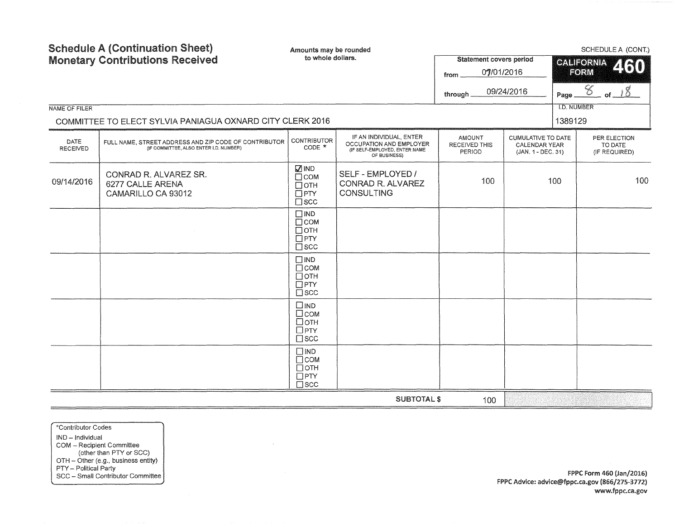| <b>Schedule A (Continuation Sheet)</b><br><b>Monetary Contributions Received</b><br>NAME OF FILER<br>COMMITTEE TO ELECT SYLVIA PANIAGUA OXNARD CITY CLERK 2016 |                                                                                                             | Amounts may be rounded<br>to whole dollars.                              |                                                                                                     | <b>Statement covers period</b><br>07/01/2016<br>from<br>through. | 09/24/2016                                                       | SCHEDULE A (CONT.)<br>CALIFORNIA<br>260<br><b>FORM</b><br>$\mathscr{C}$<br>Page<br><b>I.D. NUMBER</b><br>1389129 |                                          |
|----------------------------------------------------------------------------------------------------------------------------------------------------------------|-------------------------------------------------------------------------------------------------------------|--------------------------------------------------------------------------|-----------------------------------------------------------------------------------------------------|------------------------------------------------------------------|------------------------------------------------------------------|------------------------------------------------------------------------------------------------------------------|------------------------------------------|
| <b>DATE</b><br><b>RECEIVED</b>                                                                                                                                 | FULL NAME, STREET ADDRESS AND ZIP CODE OF CONTRIBUTOR CONTRIBUTOR<br>(IF COMMITTEE, ALSO ENTER I.D. NUMBER) | $CODE *$                                                                 | IF AN INDIVIDUAL, ENTER<br>OCCUPATION AND EMPLOYER<br>(IF SELF-EMPLOYED, ENTER NAME<br>OF BUSINESS) | AMOUNT<br><b>RECEIVED THIS</b><br><b>PERIOD</b>                  | CUMULATIVE TO DATE<br><b>CALENDAR YEAR</b><br>(JAN. 1 - DEC. 31) |                                                                                                                  | PER ELECTION<br>TO DATE<br>(IF REQUIRED) |
| 09/14/2016                                                                                                                                                     | CONRAD R. ALVAREZ SR.<br>6277 CALLE ARENA<br>CAMARILLO CA 93012                                             | <b>MIND</b><br>$\Box$ COM<br>$\Box$ OTH<br>$\Box$ PTY<br>$\square$ scc   | SELF - EMPLOYED /<br>CONRAD R. ALVAREZ<br><b>CONSULTING</b>                                         | 100                                                              |                                                                  | 100                                                                                                              | 100                                      |
|                                                                                                                                                                |                                                                                                             | $\square$ IND<br>$\Box$ COM<br>$\Box$ OTH<br>$\Box$ PTY<br>$\square$ scc |                                                                                                     |                                                                  |                                                                  |                                                                                                                  |                                          |
|                                                                                                                                                                |                                                                                                             | $\Box$ IND<br>$\Box$ COM<br>$\Box$ OTH<br>$\Box$ PTY<br>$\square$ scc    |                                                                                                     |                                                                  |                                                                  |                                                                                                                  |                                          |
|                                                                                                                                                                |                                                                                                             | $\square$ IND<br>$\Box$ COM<br>□отн<br>$\Box$ PTY<br>$\square$ SCC       |                                                                                                     |                                                                  |                                                                  |                                                                                                                  |                                          |
|                                                                                                                                                                |                                                                                                             | $\Box$ IND<br>$\Box$ COM<br>$\Box$ OTH<br>$\Box$ PTY<br>$\square$ scc    |                                                                                                     |                                                                  |                                                                  |                                                                                                                  |                                          |
|                                                                                                                                                                |                                                                                                             |                                                                          | <b>SUBTOTAL \$</b>                                                                                  | 100                                                              |                                                                  |                                                                                                                  |                                          |

 $\sim$ 

\*Contributor Codes IND - Individual COM - Recipient Committee (other than PTY or SCC) OTH - Other (e.g., business entity) PTY - Political Party SCC - Small Contributor Committee

FPPC Form 460 {Jan/2016) FPPC Advice: advice@fppc.ca.gov (866/275-3772) www.fppc.ca.gov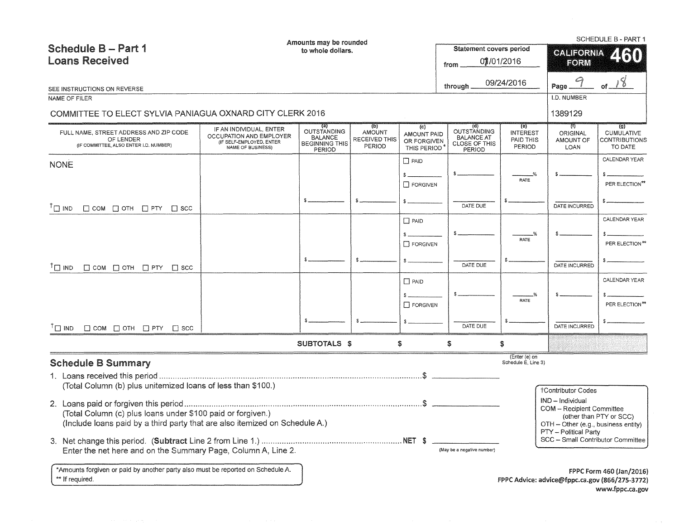|                                                                                               |                                                                          | Amounts may be rounded                                           |                                                 |                                           |                                                                    |                                        | SCHEDULE B - PART 1                                        |                                                                   |  |
|-----------------------------------------------------------------------------------------------|--------------------------------------------------------------------------|------------------------------------------------------------------|-------------------------------------------------|-------------------------------------------|--------------------------------------------------------------------|----------------------------------------|------------------------------------------------------------|-------------------------------------------------------------------|--|
| <b>Schedule B-Part 1</b>                                                                      |                                                                          | to whole dollars.                                                |                                                 |                                           | <b>Statement covers period</b>                                     |                                        | <b>CALIFORNIA</b>                                          | 260                                                               |  |
| <b>Loans Received</b>                                                                         |                                                                          |                                                                  |                                                 |                                           | from                                                               | 01/01/2016                             | FORM                                                       |                                                                   |  |
|                                                                                               |                                                                          |                                                                  |                                                 |                                           |                                                                    |                                        |                                                            |                                                                   |  |
| SEE INSTRUCTIONS ON REVERSE                                                                   |                                                                          |                                                                  |                                                 |                                           | through                                                            | 09/24/2016                             | Page.                                                      | 18<br>of.                                                         |  |
| NAME OF FILER                                                                                 |                                                                          |                                                                  |                                                 |                                           |                                                                    |                                        | I.D. NUMBER                                                |                                                                   |  |
| COMMITTEE TO ELECT SYLVIA PANIAGUA OXNARD CITY CLERK 2016                                     |                                                                          |                                                                  |                                                 |                                           |                                                                    |                                        | 1389129                                                    |                                                                   |  |
|                                                                                               | IF AN INDIVIDUAL, ENTER                                                  | (a)                                                              | (b)                                             | (c)                                       | (d)                                                                | (e)                                    | TU.                                                        | (g)                                                               |  |
| FULL NAME, STREET ADDRESS AND ZIP CODE<br>OF LENDER<br>(IF COMMITTEE, ALSO ENTER I.D. NUMBER) | OCCUPATION AND EMPLOYER<br>(IF SELF-EMPLOYED, ENTER<br>NAME OF BUSINESS) | OUTSTANDING<br><b>BALANCE</b><br><b>BEGINNING THIS</b><br>PERIOD | <b>AMOUNT</b><br><b>RECEIVED THIS</b><br>PERIOD | AMOUNT PAID<br>OR FORGIVEN<br>THIS PERIOD | <b>OUTSTANDING</b><br><b>BALANCE AT</b><br>CLOSE OF THIS<br>PERIOD | <b>INTEREST</b><br>PAID THIS<br>PERIOD | <b>ORIGINAL</b><br>AMOUNT OF<br>LOAN                       | <b>CUMULATIVE</b><br><b>CONTRIBUTIONS</b><br>TO DATE              |  |
| <b>NONE</b>                                                                                   |                                                                          |                                                                  |                                                 | $\Box$ PAID                               |                                                                    |                                        |                                                            | CALENDAR YEAR                                                     |  |
|                                                                                               |                                                                          |                                                                  |                                                 | $\mathbf{s}$ .                            |                                                                    | -%                                     |                                                            |                                                                   |  |
|                                                                                               |                                                                          |                                                                  |                                                 | $\Box$ FORGIVEN                           |                                                                    | <b>RATE</b>                            |                                                            | PER ELECTION**                                                    |  |
|                                                                                               |                                                                          |                                                                  |                                                 |                                           |                                                                    |                                        |                                                            |                                                                   |  |
| $\Box$ COM $\Box$ OTH $\Box$ PTY $\Box$ SCC<br>$\Box$ IND                                     |                                                                          |                                                                  |                                                 |                                           | DATE DUE                                                           |                                        | DATE INCURRED                                              |                                                                   |  |
|                                                                                               |                                                                          |                                                                  |                                                 | $\Box$ PAID                               |                                                                    |                                        |                                                            | CALENDAR YEAR                                                     |  |
|                                                                                               |                                                                          |                                                                  |                                                 |                                           |                                                                    | RATE                                   |                                                            |                                                                   |  |
|                                                                                               |                                                                          |                                                                  |                                                 | <b>T</b> FORGIVEN                         |                                                                    |                                        |                                                            | PER ELECTION**                                                    |  |
|                                                                                               |                                                                          |                                                                  |                                                 |                                           |                                                                    |                                        |                                                            |                                                                   |  |
| $\mathsf{T} \square$ IND<br>$\Box$ COM $\Box$ OTH $\Box$ PTY $\Box$ SCC                       |                                                                          |                                                                  |                                                 |                                           | DATE DUE                                                           |                                        | DATE INCURRED                                              |                                                                   |  |
|                                                                                               |                                                                          |                                                                  |                                                 | $\Box$ PAID                               |                                                                    |                                        |                                                            | CALENDAR YEAR                                                     |  |
|                                                                                               |                                                                          |                                                                  |                                                 |                                           |                                                                    | RATE                                   |                                                            |                                                                   |  |
|                                                                                               |                                                                          |                                                                  |                                                 | $\Box$ FORGIVEN                           |                                                                    |                                        |                                                            | PER ELECTION**                                                    |  |
|                                                                                               |                                                                          |                                                                  |                                                 |                                           | DATE DUE                                                           |                                        | DATE INCURRED                                              |                                                                   |  |
| $\Box$ COM $\Box$ OTH $\Box$ PTY $\Box$ SCC<br>$\Box$ IND                                     |                                                                          |                                                                  |                                                 |                                           |                                                                    |                                        |                                                            |                                                                   |  |
|                                                                                               |                                                                          | <b>SUBTOTALS \$</b>                                              |                                                 | \$                                        | S                                                                  | \$                                     |                                                            |                                                                   |  |
| <b>Schedule B Summary</b>                                                                     |                                                                          |                                                                  |                                                 |                                           |                                                                    | (Enter (e) on<br>Schedule E, Line 3)   |                                                            |                                                                   |  |
|                                                                                               |                                                                          |                                                                  |                                                 |                                           |                                                                    |                                        |                                                            |                                                                   |  |
| (Total Column (b) plus unitemized loans of less than \$100.)                                  |                                                                          |                                                                  |                                                 |                                           |                                                                    |                                        | <b>†Contributor Codes</b>                                  |                                                                   |  |
|                                                                                               |                                                                          |                                                                  |                                                 |                                           |                                                                    |                                        | IND - Individual                                           |                                                                   |  |
| (Total Column (c) plus loans under \$100 paid or forgiven.)                                   |                                                                          |                                                                  |                                                 |                                           |                                                                    |                                        | <b>COM - Recipient Committee</b>                           |                                                                   |  |
| (Include loans paid by a third party that are also itemized on Schedule A.)                   |                                                                          |                                                                  |                                                 |                                           |                                                                    |                                        | OTH - Other (e.g., business entity)                        | (other than PTY or SCC)                                           |  |
|                                                                                               |                                                                          |                                                                  |                                                 |                                           |                                                                    |                                        | PTY - Political Party<br>SCC - Small Contributor Committee |                                                                   |  |
| Enter the net here and on the Summary Page, Column A, Line 2.                                 |                                                                          |                                                                  |                                                 |                                           | (May be a negative number)                                         |                                        |                                                            |                                                                   |  |
|                                                                                               |                                                                          |                                                                  |                                                 |                                           |                                                                    |                                        |                                                            |                                                                   |  |
| *Amounts forgiven or paid by another party also must be reported on Schedule A.               |                                                                          |                                                                  |                                                 |                                           |                                                                    |                                        |                                                            | FPPC Form 460 (Jan/2016)                                          |  |
| ** If required.                                                                               |                                                                          |                                                                  |                                                 |                                           |                                                                    |                                        |                                                            | FPPC Advice: advice@fppc.ca.gov (866/275-3772)<br>www.fppc.ca.gov |  |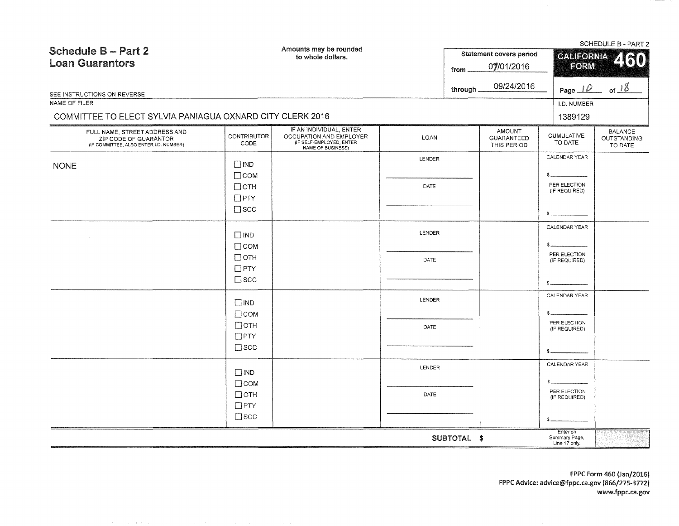| Amounts may be rounded<br><b>Schedule B - Part 2</b><br>to whole dollars.<br><b>Loan Guarantors</b><br>from |                                                                          |                                                                                                            |                       | <b>Statement covers period</b><br>07/01/2016 |                                                   | SCHEDULE B - PART 2<br><b>CALIFORNIA</b><br>60<br><b>FORM</b> |                                          |
|-------------------------------------------------------------------------------------------------------------|--------------------------------------------------------------------------|------------------------------------------------------------------------------------------------------------|-----------------------|----------------------------------------------|---------------------------------------------------|---------------------------------------------------------------|------------------------------------------|
| SEE INSTRUCTIONS ON REVERSE<br>NAME OF FILER<br>COMMITTEE TO ELECT SYLVIA PANIAGUA OXNARD CITY CLERK 2016   |                                                                          |                                                                                                            |                       | through.                                     | 09/24/2016                                        | Page $\perp \!\!\! \mathcal{D}$<br>I.D. NUMBER<br>1389129     | of $18$                                  |
| FULL NAME, STREET ADDRESS AND<br>ZIP CODE OF GUARANTOR<br>(IF COMMITTEE, ALSO ENTER I.D. NUMBER)            | <b>CONTRIBUTOR</b><br>CODE                                               | IF AN INDIVIDUAL, ENTER<br>OCCUPATION AND EMPLOYER<br>(IF SELF-EMPLOYED, ENTER<br><b>NAME OF BUSINESS)</b> | LOAN                  |                                              | <b>AMOUNT</b><br><b>GUARANTEED</b><br>THIS PERIOD | <b>CUMULATIVE</b><br>TO DATE                                  | <b>BALANCE</b><br>OUTSTANDING<br>TO DATE |
| <b>NONE</b>                                                                                                 | $\Box$ IND<br>$\Box$ COM<br>$\Box$ OTH<br>$\Box$ PTY<br>$\square$ scc    |                                                                                                            | <b>LENDER</b><br>DATE |                                              |                                                   | CALENDAR YEAR<br>PER ELECTION<br>(IF REQUIRED)                |                                          |
|                                                                                                             | $\square$ IND<br>$\Box$ COM<br>$\Box$ OTH<br>$\Box$ PTY<br>$\square$ scc |                                                                                                            | LENDER<br>DATE        |                                              |                                                   | CALENDAR YEAR<br>s<br>PER ELECTION<br>(IF REQUIRED)           |                                          |
|                                                                                                             | $\square$ IND<br>$\Box$ COM<br>$\Box$ OTH<br>$\Box$ PTY<br>$\square$ scc |                                                                                                            | LENDER<br>DATE        |                                              |                                                   | CALENDAR YEAR<br>\$.<br>PER ELECTION<br>(IF REQUIRED)         |                                          |
|                                                                                                             | $\Box$ IND<br>$\Box$ COM<br>$\Box$ OTH<br>$\Box$ PTY<br>$\square$ scc    |                                                                                                            | LENDER<br>DATE        |                                              |                                                   | CALENDAR YEAR<br>PER ELECTION<br>(IF REQUIRED)<br>s           |                                          |
|                                                                                                             |                                                                          |                                                                                                            |                       | SUBTOTAL \$                                  |                                                   | Enter on<br>Summary Page,<br>Line 17 only.                    |                                          |

 $\sim$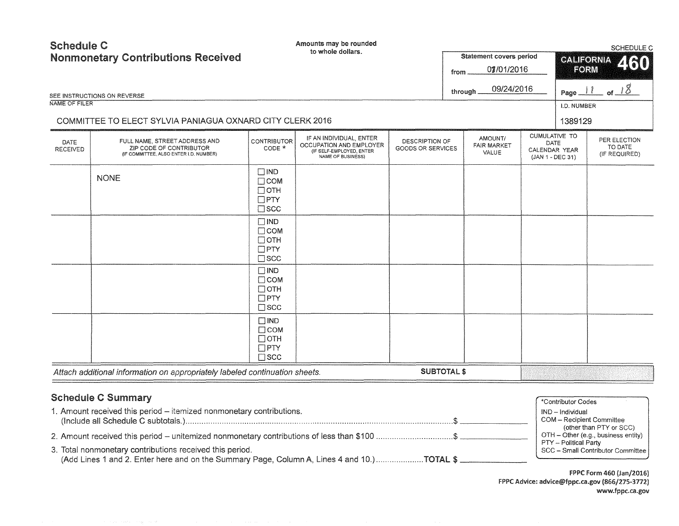| <b>Schedule C</b>       | <b>Nonmonetary Contributions Received</b>                                                          |                                                                          | Amounts may be rounded<br>to whole dollars.                                                         |                                     | from | Statement covers period<br>07/01/2016  |                                                                   | <b>CALIFORNIA</b><br><b>FORM</b> | SCHEDULE C<br>460                        |
|-------------------------|----------------------------------------------------------------------------------------------------|--------------------------------------------------------------------------|-----------------------------------------------------------------------------------------------------|-------------------------------------|------|----------------------------------------|-------------------------------------------------------------------|----------------------------------|------------------------------------------|
|                         | SEE INSTRUCTIONS ON REVERSE                                                                        |                                                                          |                                                                                                     |                                     |      | 09/24/2016<br>through                  |                                                                   | Page $11$                        | of $18$                                  |
| NAME OF FILER           |                                                                                                    |                                                                          |                                                                                                     |                                     |      |                                        |                                                                   | I.D. NUMBER                      |                                          |
|                         | COMMITTEE TO ELECT SYLVIA PANIAGUA OXNARD CITY CLERK 2016                                          |                                                                          |                                                                                                     |                                     |      |                                        |                                                                   | 1389129                          |                                          |
| DATE<br><b>RECEIVED</b> | FULL NAME, STREET ADDRESS AND<br>ZIP CODE OF CONTRIBUTOR<br>(IF COMMITTEE, ALSO ENTER I.D. NUMBER) | <b>CONTRIBUTOR</b><br>CODE *                                             | IF AN INDIVIDUAL, ENTER<br>OCCUPATION AND EMPLOYER<br>(IF SELF-EMPLOYED, ENTER<br>NAME OF BUSINESS) | DESCRIPTION OF<br>GOODS OR SERVICES |      | AMOUNT/<br><b>FAIR MARKET</b><br>VALUE | <b>CUMULATIVE TO</b><br>DATE<br>CALENDAR YEAR<br>(JAN 1 - DEC 31) |                                  | PER ELECTION<br>TO DATE<br>(IF REQUIRED) |
|                         | <b>NONE</b>                                                                                        | $\square$ IND<br>$\Box$ COM<br>$\Box$ OTH<br>$\Box$ PTY<br>$\square$ scc |                                                                                                     |                                     |      |                                        |                                                                   |                                  |                                          |
|                         |                                                                                                    | $\square$ IND<br>$\Box$ COM<br>$\Box$ OTH<br>$\Box$ PTY<br>$\square$ scc |                                                                                                     |                                     |      |                                        |                                                                   |                                  |                                          |
|                         |                                                                                                    | $\square$ IND<br>$\Box$ COM<br>$\Box$ OTH<br>$\Box$ PTY<br>$\square$ scc |                                                                                                     |                                     |      |                                        |                                                                   |                                  |                                          |
|                         |                                                                                                    | $\Box$ IND<br>$\Box$ COM<br>$\Box$ OTH<br>$\Box$ PTY<br>$\square$ scc    |                                                                                                     |                                     |      |                                        |                                                                   |                                  |                                          |
|                         | Attach additional information on appropriately labeled continuation sheets.                        |                                                                          |                                                                                                     | <b>SUBTOTAL \$</b>                  |      |                                        |                                                                   |                                  |                                          |
|                         | <b>Schedule C Summary</b>                                                                          |                                                                          |                                                                                                     |                                     |      |                                        |                                                                   | *Contributor Codes               |                                          |

|  |  | <b>Schedule C Summary</b> |  |
|--|--|---------------------------|--|
|--|--|---------------------------|--|

| 1. Amount received this period - itemized nonmonetary contributions.                                                                                    | ND - Individual<br>COM - Recipient Committee                                                                                   |
|---------------------------------------------------------------------------------------------------------------------------------------------------------|--------------------------------------------------------------------------------------------------------------------------------|
| 2. Amount received this period – unitemized nonmonetary contributions of less than \$100 \$<br>3. Total nonmonetary contributions received this period. | (other than PTY or SCC)<br>$OTH - Other (e.g., business entity)$<br>PTY – Political Party<br>SCC - Small Contributor Committee |
| (Add Lines 1 and 2. Enter here and on the Summary Page, Column A, Lines 4 and 10.)TOTAL \$                                                              |                                                                                                                                |

FPPC Form 460 (Jan/2016) FPPC Advice: advice@fppc.ca.gov (866/275-3772) www.fppc.ca.gov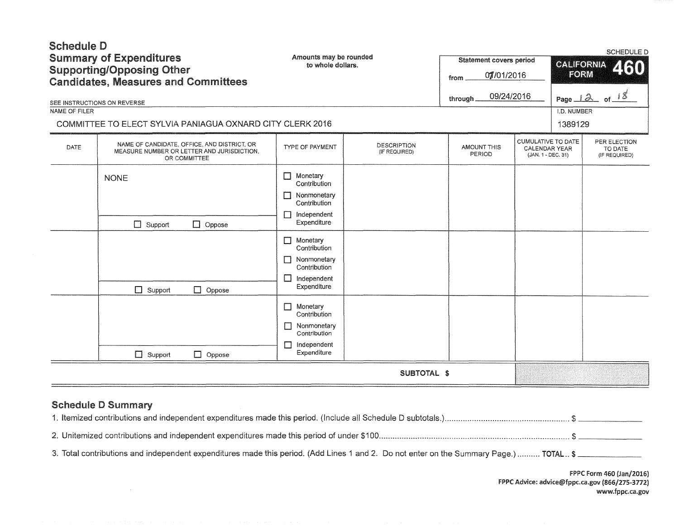| <b>Schedule D</b><br><b>Summary of Expenditures</b><br><b>Supporting/Opposing Other</b><br><b>Candidates, Measures and Committees</b> |                                                                                                                                        | Amounts may be rounded<br>to whole dollars.                                                                       | <b>Statement covers period</b><br>07/01/2016<br>from |                              | <b>SCHEDULE D</b><br><b>CALIFORNIA</b><br>2160<br>FORM           |                        |                                          |
|---------------------------------------------------------------------------------------------------------------------------------------|----------------------------------------------------------------------------------------------------------------------------------------|-------------------------------------------------------------------------------------------------------------------|------------------------------------------------------|------------------------------|------------------------------------------------------------------|------------------------|------------------------------------------|
|                                                                                                                                       | SEE INSTRUCTIONS ON REVERSE                                                                                                            |                                                                                                                   |                                                      | through.                     | 09/24/2016                                                       | Page $12$ of $18$      |                                          |
| NAME OF FILER                                                                                                                         | COMMITTEE TO ELECT SYLVIA PANIAGUA OXNARD CITY CLERK 2016                                                                              |                                                                                                                   |                                                      |                              |                                                                  | I.D. NUMBER<br>1389129 |                                          |
| <b>DATE</b>                                                                                                                           | NAME OF CANDIDATE, OFFICE, AND DISTRICT, OR<br>MEASURE NUMBER OR LETTER AND JURISDICTION,<br>OR COMMITTEE                              | <b>TYPE OF PAYMENT</b>                                                                                            | DESCRIPTION<br>(IF REQUIRED)                         | <b>AMOUNT THIS</b><br>PERIOD | CUMULATIVE TO DATE<br><b>CALENDAR YEAR</b><br>(JAN. 1 - DEC. 31) |                        | PER ELECTION<br>TO DATE<br>(IF REQUIRED) |
|                                                                                                                                       | <b>NONE</b><br>$\Box$ Support<br>$\Box$ Oppose                                                                                         | Monetary<br>П<br>Contribution<br>Nonmonetary<br>П<br>Contribution<br>Independent<br>$\blacksquare$<br>Expenditure |                                                      |                              |                                                                  |                        |                                          |
|                                                                                                                                       | $\Box$ Support<br>$\Box$ Oppose                                                                                                        | Monetary<br>$\mathbf{1}$<br>Contribution<br>Nonmonetary<br>Contribution<br>П<br>Independent<br>Expenditure        |                                                      |                              |                                                                  |                        |                                          |
|                                                                                                                                       | $\Box$ Support<br>$\Box$ Oppose                                                                                                        | Monetary<br>H<br>Contribution<br>Nonmonetary<br>Contribution<br>Independent<br>П<br>Expenditure                   |                                                      |                              |                                                                  |                        |                                          |
|                                                                                                                                       |                                                                                                                                        |                                                                                                                   | SUBTOTAL \$                                          |                              |                                                                  |                        |                                          |
|                                                                                                                                       | <b>Schedule D Summary</b>                                                                                                              |                                                                                                                   |                                                      |                              |                                                                  |                        |                                          |
|                                                                                                                                       |                                                                                                                                        |                                                                                                                   |                                                      |                              |                                                                  |                        |                                          |
|                                                                                                                                       | 3. Total contributions and independent expenditures made this period. (Add Lines 1 and 2. Do not enter on the Summary Page.)  TOTAL \$ |                                                                                                                   |                                                      |                              |                                                                  |                        |                                          |

 $\sim 10^6$ 

FPPC Form 460 (Jan/2016} FPPC Advice: advice@fppc.ca.gov (866/275-3772) www.fppc.ca.gov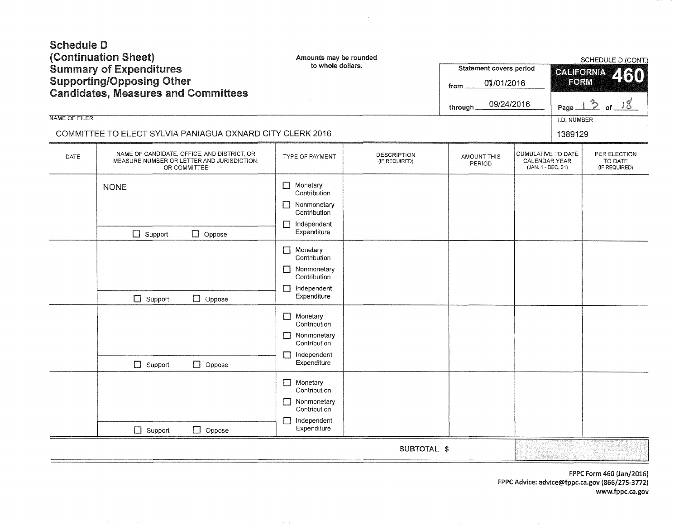| <b>Schedule D</b><br>(Continuation Sheet)<br><b>Summary of Expenditures</b><br><b>Supporting/Opposing Other</b><br><b>Candidates, Measures and Committees</b><br><b>NAME OF FILER</b><br>COMMITTEE TO ELECT SYLVIA PANIAGUA OXNARD CITY CLERK 2016 |                                                                                                           |                                                                                                           | Amounts may be rounded<br>to whole dollars.<br><b>Statement covers period</b><br>from<br>through. |                       |                                                                  | SCHEDULE D (CONT.)<br><b>CALIFORNIA</b><br>2130<br><b>FORM</b><br>$30 - 18$<br>Page.<br>I.D. NUMBER<br>1389129 |                                          |
|----------------------------------------------------------------------------------------------------------------------------------------------------------------------------------------------------------------------------------------------------|-----------------------------------------------------------------------------------------------------------|-----------------------------------------------------------------------------------------------------------|---------------------------------------------------------------------------------------------------|-----------------------|------------------------------------------------------------------|----------------------------------------------------------------------------------------------------------------|------------------------------------------|
| DATE                                                                                                                                                                                                                                               | NAME OF CANDIDATE, OFFICE, AND DISTRICT, OR<br>MEASURE NUMBER OR LETTER AND JURISDICTION,<br>OR COMMITTEE | TYPE OF PAYMENT                                                                                           | <b>DESCRIPTION</b><br>(IF REQUIRED)                                                               | AMOUNT THIS<br>PERIOD | <b>CUMULATIVE TO DATE</b><br>CALENDAR YEAR<br>(JAN. 1 - DEC. 31) |                                                                                                                | PER ELECTION<br>TO DATE<br>(IF REQUIRED) |
|                                                                                                                                                                                                                                                    | <b>NONE</b><br>$\Box$ Support<br>$\Box$ Oppose                                                            | $\Box$<br>Monetary<br>Contribution<br>Nonmonetary<br>П<br>Contribution<br>Independent<br>П<br>Expenditure |                                                                                                   |                       |                                                                  |                                                                                                                |                                          |
|                                                                                                                                                                                                                                                    | $\Box$ Support<br>$\Box$ Oppose                                                                           | $\Box$ Monetary<br>Contribution<br>П<br>Nonmonetary<br>Contribution<br>Independent<br>П<br>Expenditure    |                                                                                                   |                       |                                                                  |                                                                                                                |                                          |
|                                                                                                                                                                                                                                                    | $\Box$ Oppose<br>$\Box$ Support                                                                           | Monetary<br>$\Box$<br>Contribution<br>Nonmonetary<br>П<br>Contribution<br>Independent<br>П<br>Expenditure |                                                                                                   |                       |                                                                  |                                                                                                                |                                          |
|                                                                                                                                                                                                                                                    | $\Box$ Support<br>$\Box$ Oppose                                                                           | $\Box$ Monetary<br>Contribution<br>Nonmonetary<br>П<br>Contribution<br>Independent<br>Expenditure         |                                                                                                   |                       |                                                                  |                                                                                                                |                                          |
|                                                                                                                                                                                                                                                    |                                                                                                           |                                                                                                           | SUBTOTAL \$                                                                                       |                       |                                                                  |                                                                                                                |                                          |

 $\sim 10^6$ 

FPPC Form 460 (Jan/2016) FPPC Advice: advice@fppc.ca.gov {866/275-3772) www.fppc.ca.gov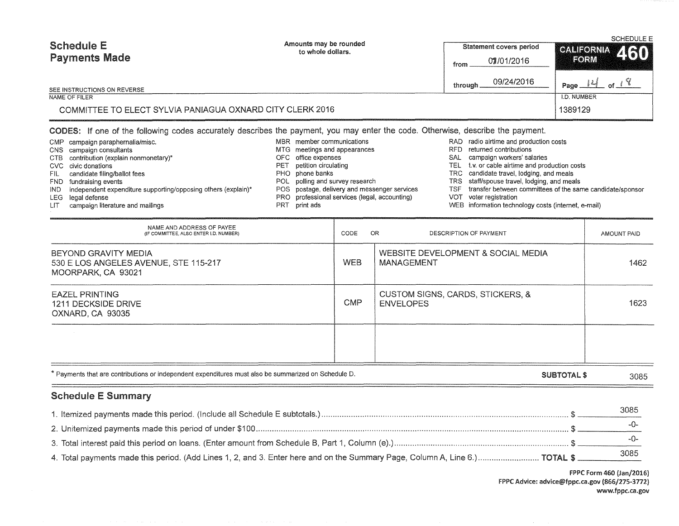| <b>Schedule E</b><br><b>Payments Made</b>                 | Amounts may be rounded<br>to whole dollars. | Statement covers period<br>07/01/2016 | SCHEDULE E<br>CALIFORNIA 460<br><b>FORM</b>                                |  |  |
|-----------------------------------------------------------|---------------------------------------------|---------------------------------------|----------------------------------------------------------------------------|--|--|
| SEE INSTRUCTIONS ON REVERSE                               |                                             | from<br>09/24/2016<br>througl         | $^{\backprime}$ Page $\frac{\mid \mathcal{U} \mid}{\mid}$ of $\mathcal{L}$ |  |  |
| NAME OF FILER                                             |                                             |                                       | I.D. NUMBER                                                                |  |  |
| COMMITTEE TO ELECT SYLVIA PANIAGUA OXNARD CITY CLERK 2016 |                                             |                                       | 1389129                                                                    |  |  |

# CODES: If one of the following codes accurately describes the payment, you may enter the code. Otherwise, describe the payment.

| CMP campaign paraphernalia/misc.                                    |     | MBR member communications                     |       | RAD radio airtime and production costs                    |
|---------------------------------------------------------------------|-----|-----------------------------------------------|-------|-----------------------------------------------------------|
| CNS campaign consultants                                            |     | MTG meetings and appearances                  | RFD   | returned contributions                                    |
| CTB contribution (explain nonmonetary)*                             |     | OFC office expenses                           | SAL   | campaign workers' salaries                                |
| CVC civic donations                                                 | PET | petition circulating                          | TEL 1 | t.v. or cable airtime and production costs                |
| FIL candidate filing/ballot fees                                    |     | PHO phone banks                               |       | TRC candidate travel, lodging, and meals                  |
| FND fundraising events                                              |     | POL polling and survey research               |       | TRS staff/spouse travel, lodging, and meals               |
| $IND$ independent expenditure supporting/opposing others (explain)* |     | POS postage, delivery and messenger services  | TSF.  | transfer between committees of the same candidate/sponsor |
| LEG legal defense                                                   |     | PRO professional services (legal, accounting) |       | VOT voter registration                                    |
|                                                                     |     |                                               |       |                                                           |

LIT campaign literature and mailings

- PRT print ads
- WEB information technology costs (internet, e-mail)

| NAME AND ADDRESS OF PAYEE<br>(IF COMMITTEE, ALSO ENTER I.D. NUMBER)                                  | CODE               | OR<br>DESCRIPTION OF PAYMENT                            | AMOUNT PAID |  |
|------------------------------------------------------------------------------------------------------|--------------------|---------------------------------------------------------|-------------|--|
| BEYOND GRAVITY MEDIA<br>530 E LOS ANGELES AVENUE, STE 115-217<br>MOORPARK, CA 93021                  | <b>WEB</b>         | WEBSITE DEVELOPMENT & SOCIAL MEDIA<br><b>MANAGEMENT</b> | 1462        |  |
| <b>EAZEL PRINTING</b><br>1211 DECKSIDE DRIVE<br>OXNARD, CA 93035                                     | <b>CMP</b>         | CUSTOM SIGNS, CARDS, STICKERS, &<br><b>ENVELOPES</b>    | 1623        |  |
|                                                                                                      |                    |                                                         |             |  |
| * Payments that are contributions or independent expenditures must also be summarized on Schedule D. | <b>SUBTOTAL \$</b> |                                                         |             |  |

# Schedule E Summary

|                                                                                                                             | 3085 |
|-----------------------------------------------------------------------------------------------------------------------------|------|
|                                                                                                                             |      |
|                                                                                                                             |      |
| 4. Total payments made this period. (Add Lines 1, 2, and 3. Enter here and on the Summary Page, Column A, Line 6.) TOTAL \$ | 3085 |

FPPC Form 460 (Jan/2016) FPPC Advice: advice@fppc.ca.gov (866/275-3772) www.fppc.ca.gov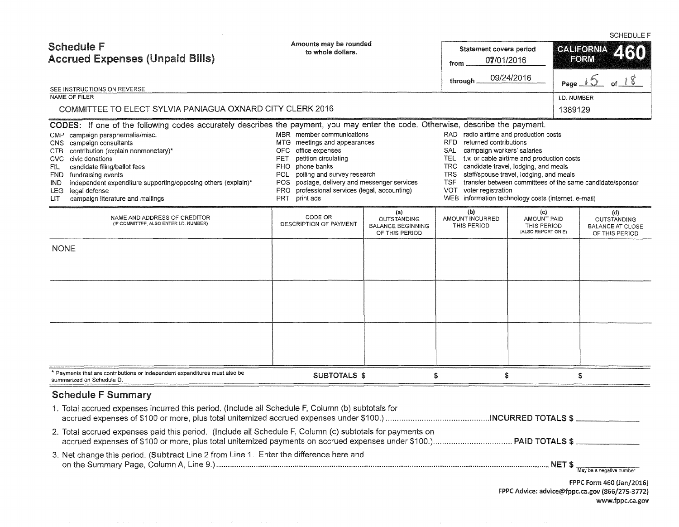SCHEDULE F Amounts may be rounded Schedule F **Statement covers period <b>CALIFORNIA** to whole dollars. Accrued Expenses (Unpaid Bills) **FORM** from 07/01/2016 through  $09/24/2016$  Page of  $18$ SEE INSTRUCTIONS ON REVERSE NAME OF FILER AND RESERVE THE SERVER SERVER IN THE SERVER SERVER IN THE SERVER SERVER IN THE SERVER IN THE SERVER IN THE SERVER IN THE SERVER IN THE SERVER IN THE SERVER IN THE SERVER IN THE SERVER IN THE SERVER IN THE SER COMMITTEE TO ELECT SYLVIA PANIAGUA OXNARD CITY CLERK 2016 1389129 1389129 CODES: If one of the following codes accurately describes the payment, you may enter the code. Otherwise, describe the payment. CMP campaign paraphernalia/misc. <br>CNS campaign consultants and production costs MSR member communications and appearances RFD returned contributions MTG meetings and appearances and appearances RFD returned contributions<br>CNS campaign workers' salaries CNS campaign workers' salaries CTB contribution (explain nonmonetary)\* OFC office expenses CVC civic donations<br>CVC civic donations even civic donations of the costs of the costs PET petition circulating TEL t.v. or cable airtime and production costs PHO phone banks TRC candidate fravel, lodging, and meals PHO phone banks<br>
POL polling and survey research TRS staff/spouse travel, lodging, and meals FND fundraising events events experting/opposing others (explain)\* POL polling and survey research TRS staff/spouse travel, lodging, and meals FRD independent expenditure supporting/opposing others (explain)\* POS postage, IND independent expenditure supporting/opposing others (explain)\* LEG legal defense legal defense VOT voter registration<br>
PRO professional services (legal, accounting) VOT voter registration<br>
PRT print ads<br>
PRT print ads<br>
PRT print ads LIT campaign literature and mailings PRT print ads WEB information technology costs (internet, e-mail) (a)<br>CODE OR OUTSTANDING<br>DESCRIPTION OF PAYMENT (b) (c) (d) NAME AND ADDRESS OF CREDITOR AMOUNT INCURRED AMOUNT PAID OUTSTANDING<br>THIS PERIOD THIS PERIOD BALANCE AT CLOS (IF COMMITTEE, ALSO ENTER l.D. NUMBER) BALANCE BEGINNING THIS PERIOD BALANCE AT CLOSE<br>
(ALSO REPORT ON E) OF THIS PERIOD OF THIS PERIOD OF THIS PERIOD NONE \* Payments that are contributions or independent expenditures must also be SUBTOTALS \$ \$  $\textcolor{red}{\textbf{2.5}} \textcolor{red}{\textbf{2.5}} \textcolor{red}{\textbf{3.5}} \textcolor{red}{\textbf{4.5}} \textcolor{red}{\textbf{5.5}} \textcolor{red}{\textbf{6.5}} \textcolor{red}{\textbf{6.5}} \textcolor{red}{\textbf{6.5}} \textcolor{red}{\textbf{6.5}} \textcolor{red}{\textbf{6.5}} \textcolor{red}{\textbf{6.5}} \textcolor{red}{\textbf{6.5}} \textcolor{red}{\textbf{7.5}} \textcolor{red}{\textbf{7.5}} \textcolor{red}{\textbf{7.5}} \textcolor{red}{\textbf{$ summarized on Schedule D. Schedule F Summary 1. Total accrued expenses incurred this period. (Include all Schedule F, Column (b) subtotals for accrued expenses of \$100 or more, plus total unitemized accrued expenses under \$100.) .............................................. INCURRED TOTALS\$ \_\_\_\_\_\_ \_ 2. Total accrued expenses paid this period. (Include all Schedule F, Column (c) subtotals for payments on accrued expenses of \$100 or more, plus total unitemized payments on accrued expenses under \$100.) ................................... PAID TOTALS\$ \_\_\_\_\_\_ \_ 3. Net change this period. (Subtract Line 2 from Line 1. Enter the difference here and on the Summary Page, Column A, Line 9.) ................................................................................................................................................................................... NET\$ \_\_\_\_\_ \_ May be a negative number

> FPPC Form 460 (Jan/2016) FPPC Advice: advice@fppc.ca.gov (866/275-3772) www.fppc.ca.gov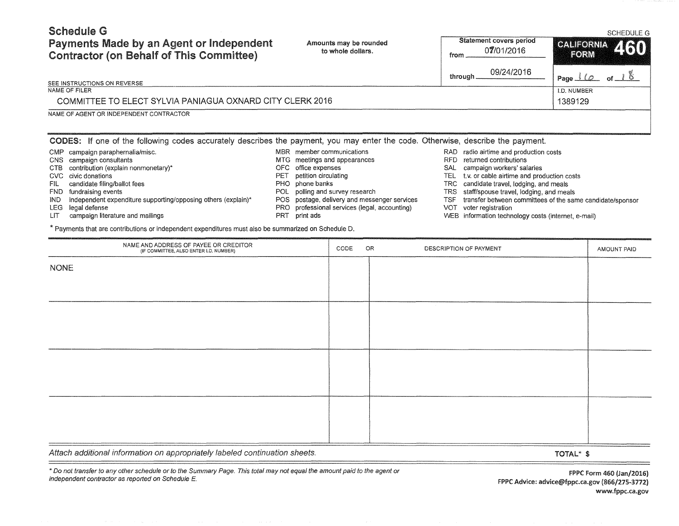# Schedule G Payments Made by an Agent or Independent

Amounts may be rounded

# Statement covers period

#### SCHEDULE G

| Payments wade by an Agent or independent<br><b>Contractor (on Behalf of This Committee)</b>                                     |                                 | Amounts may be rounded<br>to whole dollars.                                                   | from                                                                                                               | 07/01/2016                                          | <b>CALICRY' ZION</b><br>FORM                               |  |  |
|---------------------------------------------------------------------------------------------------------------------------------|---------------------------------|-----------------------------------------------------------------------------------------------|--------------------------------------------------------------------------------------------------------------------|-----------------------------------------------------|------------------------------------------------------------|--|--|
|                                                                                                                                 |                                 |                                                                                               |                                                                                                                    | 09/24/2016<br>through                               | of $18$<br>Page $\bot\!\!\!\!\bot\!\!\!\!\bot\!\!\!\!\bot$ |  |  |
| SEE INSTRUCTIONS ON REVERSE                                                                                                     |                                 |                                                                                               |                                                                                                                    |                                                     |                                                            |  |  |
| NAME OF FILER                                                                                                                   |                                 |                                                                                               |                                                                                                                    |                                                     | I.D. NUMBER                                                |  |  |
| COMMITTEE TO ELECT SYLVIA PANIAGUA OXNARD CITY CLERK 2016                                                                       |                                 |                                                                                               |                                                                                                                    |                                                     | 1389129                                                    |  |  |
| NAME OF AGENT OR INDEPENDENT CONTRACTOR                                                                                         |                                 |                                                                                               |                                                                                                                    |                                                     |                                                            |  |  |
|                                                                                                                                 |                                 |                                                                                               |                                                                                                                    |                                                     |                                                            |  |  |
| CODES: If one of the following codes accurately describes the payment, you may enter the code. Otherwise, describe the payment. |                                 |                                                                                               |                                                                                                                    |                                                     |                                                            |  |  |
| <b>CMP</b><br>campaign paraphernalia/misc.                                                                                      | MBR member communications       |                                                                                               |                                                                                                                    | RAD radio airtime and production costs              |                                                            |  |  |
| campaign consultants<br>CNS                                                                                                     | MTG meetings and appearances    |                                                                                               | RFD.<br>returned contributions                                                                                     |                                                     |                                                            |  |  |
| contribution (explain nonmonetary)*<br><b>CTB</b>                                                                               | OFC office expenses             |                                                                                               | campaign workers' salaries<br><b>SAL</b>                                                                           |                                                     |                                                            |  |  |
| civic donations<br>CVC                                                                                                          | petition circulating<br>PET     |                                                                                               | <b>TEL</b><br>t.v. or cable airtime and production costs                                                           |                                                     |                                                            |  |  |
| candidate filing/ballot fees<br>FIL                                                                                             | PHO phone banks                 |                                                                                               | candidate travel, lodging, and meals<br>TRC.                                                                       |                                                     |                                                            |  |  |
| <b>FND</b><br>fundraising events<br><b>IND</b>                                                                                  | POL polling and survey research |                                                                                               | <b>TRS</b><br>staff/spouse travel, lodging, and meals<br>transfer between committees of the same candidate/sponsor |                                                     |                                                            |  |  |
| independent expenditure supporting/opposing others (explain)*<br><b>LEG</b><br>legal defense                                    |                                 | POS postage, delivery and messenger services<br>PRO professional services (legal, accounting) | <b>TSF</b><br><b>VOT</b>                                                                                           | voter registration                                  |                                                            |  |  |
| campaign literature and mailings<br>LIT                                                                                         | PRT print ads                   |                                                                                               |                                                                                                                    | WEB information technology costs (internet, e-mail) |                                                            |  |  |
| * Payments that are contributions or independent expenditures must also be summarized on Schedule D.                            |                                 |                                                                                               |                                                                                                                    |                                                     |                                                            |  |  |
|                                                                                                                                 |                                 |                                                                                               |                                                                                                                    |                                                     |                                                            |  |  |
| NAME AND ADDRESS OF PAYEE OR CREDITOR<br>(IF COMMITTEE, ALSO ENTER I.D. NUMBER)                                                 |                                 | OR<br>CODE                                                                                    |                                                                                                                    | DESCRIPTION OF PAYMENT                              | AMOUNT PAID                                                |  |  |
| <b>NONE</b>                                                                                                                     |                                 |                                                                                               |                                                                                                                    |                                                     |                                                            |  |  |
|                                                                                                                                 |                                 |                                                                                               |                                                                                                                    |                                                     |                                                            |  |  |
|                                                                                                                                 |                                 |                                                                                               |                                                                                                                    |                                                     |                                                            |  |  |
|                                                                                                                                 |                                 |                                                                                               |                                                                                                                    |                                                     |                                                            |  |  |

Attach additional information on appropriately labeled continuation sheets.

 $=$ 

 $\equiv$ 

\*Do not transfer to any other schedule or to the Summary Page. This total may not equal the amount paid to the agent or independent contractor as reported on Schedule E.

FPPC Form 460 {Jan/2016) FPPC Advice: advice@fppc.ca.gov (866/275-3772) www.fppc.ca.gov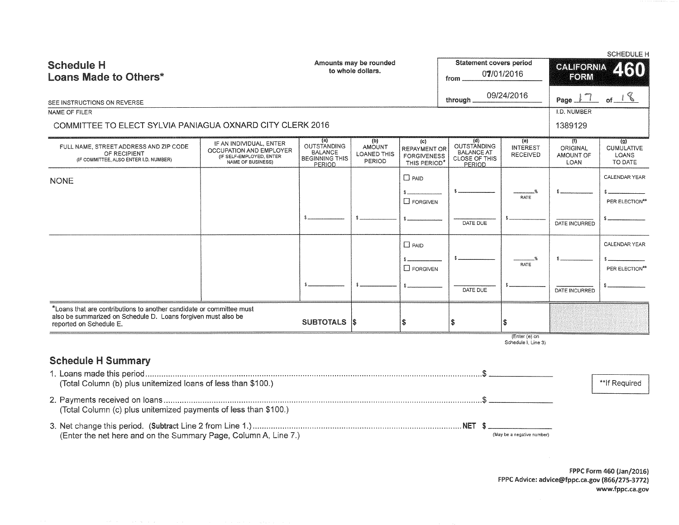|                                                                                                                                       |                                                                                                     |                                                                         |                                                      |                                                           |                                                                           |                                           |                                      | <b>SCHEDULE H</b>                            |
|---------------------------------------------------------------------------------------------------------------------------------------|-----------------------------------------------------------------------------------------------------|-------------------------------------------------------------------------|------------------------------------------------------|-----------------------------------------------------------|---------------------------------------------------------------------------|-------------------------------------------|--------------------------------------|----------------------------------------------|
| <b>Schedule H</b>                                                                                                                     |                                                                                                     | Amounts may be rounded<br>to whole dollars.                             |                                                      |                                                           | <b>Statement covers period</b>                                            | 07/01/2016                                | <b>CALIFORNIA</b><br>2130            |                                              |
| Loans Made to Others*                                                                                                                 |                                                                                                     |                                                                         |                                                      |                                                           | from                                                                      |                                           | FORM                                 |                                              |
|                                                                                                                                       |                                                                                                     |                                                                         |                                                      |                                                           | through                                                                   | 09/24/2016                                | Page $\perp$ $\frac{1}{1}$           | of $18$                                      |
| SEE INSTRUCTIONS ON REVERSE<br>NAME OF FILER                                                                                          |                                                                                                     |                                                                         |                                                      |                                                           |                                                                           |                                           | <b>I.D. NUMBER</b>                   |                                              |
| COMMITTEE TO ELECT SYLVIA PANIAGUA OXNARD CITY CLERK 2016                                                                             |                                                                                                     |                                                                         |                                                      |                                                           |                                                                           |                                           | 1389129                              |                                              |
|                                                                                                                                       |                                                                                                     | (a)                                                                     |                                                      |                                                           |                                                                           |                                           |                                      |                                              |
| FULL NAME, STREET ADDRESS AND ZIP CODE<br>OF RECIPIENT<br>(IF COMMITTEE, ALSO ENTER I.D. NUMBER)                                      | IF AN INDIVIDUAL, ENTER<br>OCCUPATION AND EMPLOYER<br>(IF SELF-EMPLOYED, ENTER<br>NAME OF BUSINESS) | <b>OUTSTANDING</b><br><b>BALANCE</b><br><b>BEGINNING THIS</b><br>PERIOD | (b)<br><b>AMOUNT</b><br><b>LOANED THIS</b><br>PERIOD | (c)<br>REPAYMENT OR<br><b>FORGIVENESS</b><br>THIS PERIOD' | (d)<br>OUTSTANDING<br><b>BALANCE AT</b><br><b>CLOSE OF THIS</b><br>PERIOD | (e)<br><b>INTEREST</b><br><b>RECEIVED</b> | (1)<br>ORIGINAL<br>AMOUNT OF<br>LOAN | (g)<br><b>CUMULATIVE</b><br>LOANS<br>TO DATE |
| <b>NONE</b>                                                                                                                           |                                                                                                     |                                                                         |                                                      | $\Box$ PAID                                               |                                                                           |                                           |                                      | CALENDAR YEAR                                |
|                                                                                                                                       |                                                                                                     |                                                                         |                                                      |                                                           |                                                                           | <b>RATE</b>                               |                                      |                                              |
|                                                                                                                                       |                                                                                                     |                                                                         |                                                      | $\Box$ FORGIVEN                                           |                                                                           |                                           |                                      | PER ELECTION*                                |
|                                                                                                                                       |                                                                                                     |                                                                         |                                                      |                                                           | DATE DUE                                                                  |                                           | DATE INCURRED                        |                                              |
|                                                                                                                                       |                                                                                                     |                                                                         |                                                      | $\Box$ PAID                                               |                                                                           |                                           |                                      | CALENDAR YEAR                                |
|                                                                                                                                       |                                                                                                     |                                                                         |                                                      |                                                           |                                                                           |                                           |                                      |                                              |
|                                                                                                                                       |                                                                                                     |                                                                         |                                                      | $\square$ FORGIVEN                                        |                                                                           | RATE                                      |                                      | PER ELECTION**                               |
|                                                                                                                                       |                                                                                                     |                                                                         |                                                      |                                                           | DATE DUE                                                                  |                                           | DATE INCURRED                        |                                              |
|                                                                                                                                       |                                                                                                     |                                                                         |                                                      |                                                           |                                                                           |                                           |                                      |                                              |
| *Loans that are contributions to another candidate or committee must<br>also be summarized on Schedule D. Loans forgiven must also be |                                                                                                     |                                                                         |                                                      |                                                           |                                                                           |                                           |                                      |                                              |
| reported on Schedule E.                                                                                                               |                                                                                                     | SUBTOTALS S                                                             |                                                      | 18                                                        | l S                                                                       |                                           |                                      |                                              |
|                                                                                                                                       |                                                                                                     |                                                                         |                                                      |                                                           |                                                                           | (Enter (e) on<br>Schedule I, Line 3)      |                                      |                                              |
| <b>Schedule H Summary</b>                                                                                                             |                                                                                                     |                                                                         |                                                      |                                                           |                                                                           |                                           |                                      |                                              |
|                                                                                                                                       |                                                                                                     |                                                                         |                                                      |                                                           |                                                                           |                                           |                                      |                                              |
| (Total Column (b) plus unitemized loans of less than \$100.)                                                                          |                                                                                                     |                                                                         |                                                      |                                                           |                                                                           |                                           |                                      | **If Required                                |
| (Total Column (c) plus unitemized payments of less than \$100.)                                                                       |                                                                                                     |                                                                         |                                                      |                                                           |                                                                           |                                           |                                      |                                              |
| (Enter the net here and on the Summary Page, Column A, Line 7.)                                                                       |                                                                                                     |                                                                         |                                                      |                                                           |                                                                           | (May be a negative number)                |                                      |                                              |

FPPC Form 460 {Jan/2016) FPPC Advice: advice@fppc.ca.gov (866/275-3772) www.fppc.ca.gov